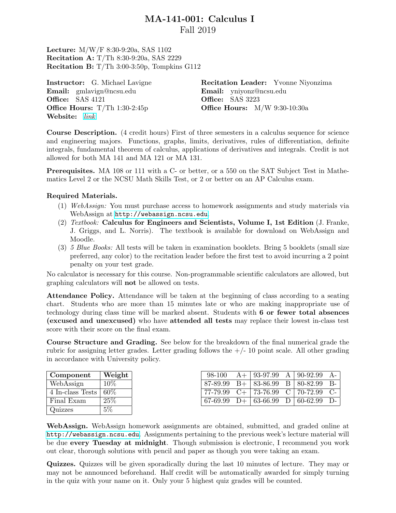## MA-141-001: Calculus I Fall 2019

Lecture: M/W/F 8:30-9:20a, SAS 1102 Recitation A: T/Th 8:30-9:20a, SAS 2229 Recitation B: T/Th 3:00-3:50p, Tompkins G112

Instructor: G. Michael Lavigne Email: gmlavign@ncsu.edu Office: SAS 4121 **Office Hours:**  $T/Th$  1:30-2:45p Website: [link](https://mlavigne93.wixsite.com/gmlmath)

Recitation Leader: Yvonne Niyonzima Email: yniyonz@ncsu.edu **Office:** SAS 3223 Office Hours: M/W 9:30-10:30a

Course Description. (4 credit hours) First of three semesters in a calculus sequence for science and engineering majors. Functions, graphs, limits, derivatives, rules of differentiation, definite integrals, fundamental theorem of calculus, applications of derivatives and integrals. Credit is not allowed for both MA 141 and MA 121 or MA 131.

Prerequisites. MA 108 or 111 with a C- or better, or a 550 on the SAT Subject Test in Mathematics Level 2 or the NCSU Math Skills Test, or 2 or better on an AP Calculus exam.

## Required Materials.

- (1) WebAssign: You must purchase access to homework assignments and study materials via WebAssign at <http://webassign.ncsu.edu>.
- (2) Textbook: Calculus for Engineers and Scientists, Volume I, 1st Edition (J. Franke, J. Griggs, and L. Norris). The textbook is available for download on WebAssign and Moodle.
- (3) 5 Blue Books: All tests will be taken in examination booklets. Bring 5 booklets (small size preferred, any color) to the recitation leader before the first test to avoid incurring a 2 point penalty on your test grade.

No calculator is necessary for this course. Non-programmable scientific calculators are allowed, but graphing calculators will not be allowed on tests.

Attendance Policy. Attendance will be taken at the beginning of class according to a seating chart. Students who are more than 15 minutes late or who are making inappropriate use of technology during class time will be marked absent. Students with 6 or fewer total absences (excused and unexcused) who have attended all tests may replace their lowest in-class test score with their score on the final exam.

Course Structure and Grading. See below for the breakdown of the final numerical grade the rubric for assigning letter grades. Letter grading follows the  $+/-10$  point scale. All other grading in accordance with University policy.

| Component        | Weight |  |
|------------------|--------|--|
| WebAssign        | 10%    |  |
| 4 In-class Tests | 60%    |  |
| Final Exam       | 25%    |  |
| Quizzes          | .5%    |  |

|  | 98-100 $A+$ 93-97.99 $A$ 90-92.99 $A-$   |  |  |
|--|------------------------------------------|--|--|
|  | $87-89.99$ B+ $83-86.99$ B $80-82.99$ B- |  |  |
|  | 77-79.99 $C+$ 73-76.99 C 70-72.99 C-     |  |  |
|  | $67-69.99$ D+ $63-66.99$ D $60-62.99$ D- |  |  |

WebAssign. WebAssign homework assignments are obtained, submitted, and graded online at <http://webassign.ncsu.edu>. Assignments pertaining to the previous week's lecture material will be due every Tuesday at midnight. Though submission is electronic, I recommend you work out clear, thorough solutions with pencil and paper as though you were taking an exam.

Quizzes. Quizzes will be given sporadically during the last 10 minutes of lecture. They may or may not be announced beforehand. Half credit will be automatically awarded for simply turning in the quiz with your name on it. Only your 5 highest quiz grades will be counted.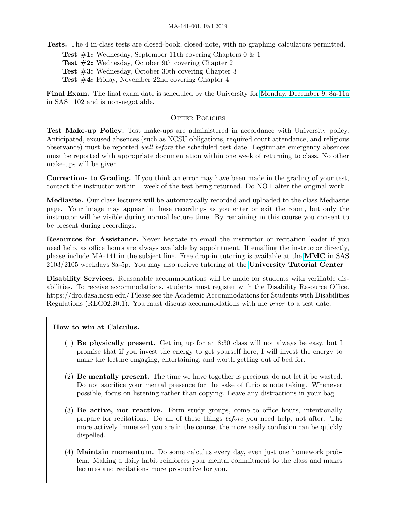Tests. The 4 in-class tests are closed-book, closed-note, with no graphing calculators permitted.

**Test**  $\#1$ **:** Wednesday, September 11th covering Chapters 0 & 1 Test #2: Wednesday, October 9th covering Chapter 2 Test #3: Wednesday, October 30th covering Chapter 3

Test #4: Friday, November 22nd covering Chapter 4

Final Exam. The final exam date is scheduled by the University for [Monday, December 9, 8a-11a](https://studentservices.ncsu.edu/calendars/exam/) in SAS 1102 and is non-negotiable.

## OTHER POLICIES

Test Make-up Policy. Test make-ups are administered in accordance with University policy. Anticipated, excused absences (such as NCSU obligations, required court attendance, and religious observance) must be reported well before the scheduled test date. Legitimate emergency absences must be reported with appropriate documentation within one week of returning to class. No other make-ups will be given.

Corrections to Grading. If you think an error may have been made in the grading of your test, contact the instructor within 1 week of the test being returned. Do NOT alter the original work.

Mediasite. Our class lectures will be automatically recorded and uploaded to the class Mediasite page. Your image may appear in these recordings as you enter or exit the room, but only the instructor will be visible during normal lecture time. By remaining in this course you consent to be present during recordings.

Resources for Assistance. Never hesitate to email the instructor or recitation leader if you need help, as office hours are always available by appointment. If emailing the instructor directly, please include MA-141 in the subject line. Free drop-in tutoring is available at the [MMC](https://math.sciences.ncsu.edu/undergraduate/courses-faq/math-multimedia-center/) in SAS 2103/2105 weekdays 8a-5p. You may also recieve tutoring at the [University Tutorial Center](https://tutorial.dasa.ncsu.edu/)

Disability Services. Reasonable accommodations will be made for students with verifiable disabilities. To receive accommodations, students must register with the Disability Resource Office. https://dro.dasa.ncsu.edu/ Please see the Academic Accommodations for Students with Disabilities Regulations (REG02.20.1). You must discuss accommodations with me prior to a test date.

## How to win at Calculus.

- (1) Be physically present. Getting up for an 8:30 class will not always be easy, but I promise that if you invest the energy to get yourself here, I will invest the energy to make the lecture engaging, entertaining, and worth getting out of bed for.
- (2) Be mentally present. The time we have together is precious, do not let it be wasted. Do not sacrifice your mental presence for the sake of furious note taking. Whenever possible, focus on listening rather than copying. Leave any distractions in your bag.
- (3) Be active, not reactive. Form study groups, come to office hours, intentionally prepare for recitations. Do all of these things before you need help, not after. The more actively immersed you are in the course, the more easily confusion can be quickly dispelled.
- (4) Maintain momentum. Do some calculus every day, even just one homework problem. Making a daily habit reinforces your mental commitment to the class and makes lectures and recitations more productive for you.